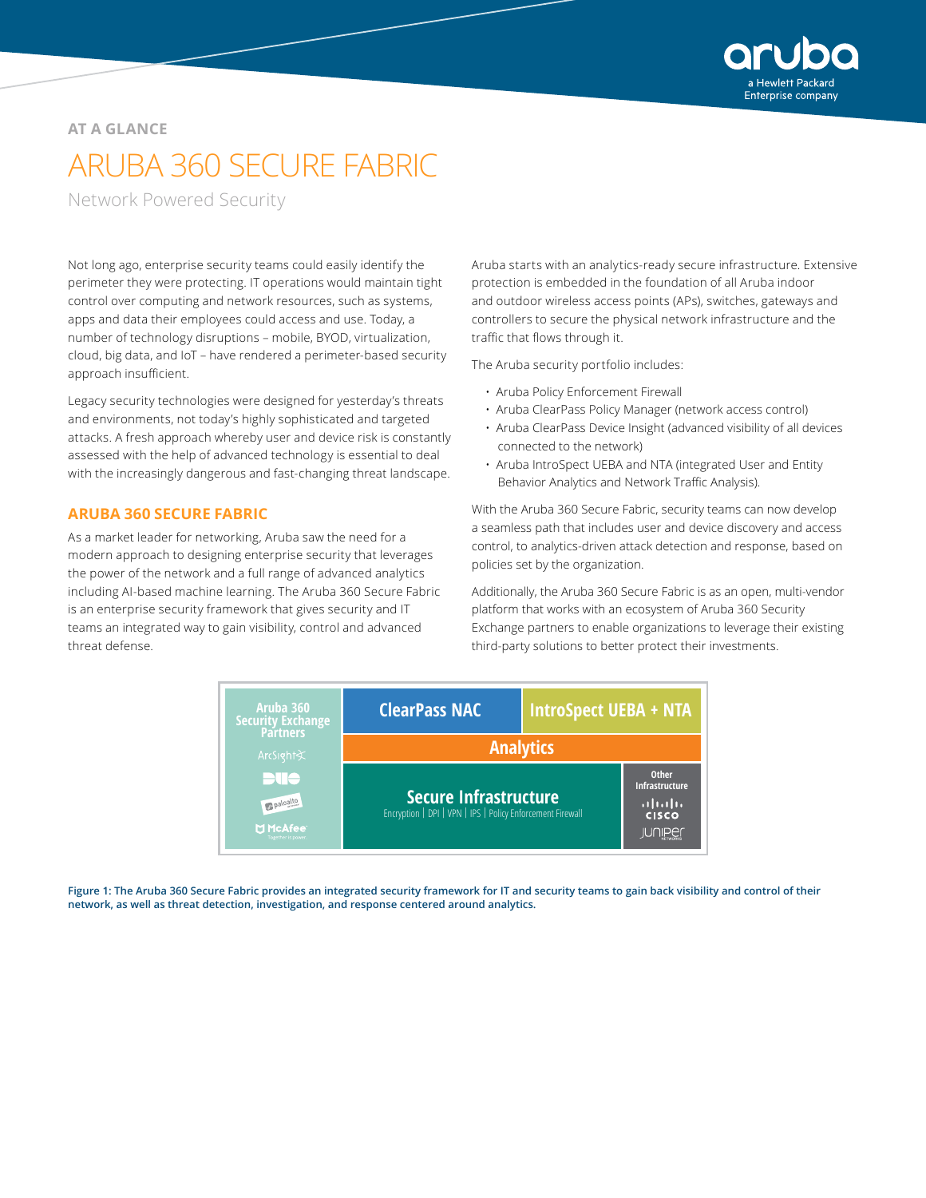

#### **AT A GLANCE**

# ARUBA 360 SECURE FABRIC

Network Powered Security

Not long ago, enterprise security teams could easily identify the perimeter they were protecting. IT operations would maintain tight control over computing and network resources, such as systems, apps and data their employees could access and use. Today, a number of technology disruptions – mobile, BYOD, virtualization, cloud, big data, and IoT – have rendered a perimeter-based security approach insufficient.

Legacy security technologies were designed for yesterday's threats and environments, not today's highly sophisticated and targeted attacks. A fresh approach whereby user and device risk is constantly assessed with the help of advanced technology is essential to deal with the increasingly dangerous and fast-changing threat landscape.

#### **ARUBA 360 SECURE FABRIC**

As a market leader for networking, Aruba saw the need for a modern approach to designing enterprise security that leverages the power of the network and a full range of advanced analytics including AI-based machine learning. The Aruba 360 Secure Fabric is an enterprise security framework that gives security and IT teams an integrated way to gain visibility, control and advanced threat defense.

Aruba starts with an analytics-ready secure infrastructure. Extensive protection is embedded in the foundation of all Aruba indoor and outdoor wireless access points (APs), switches, gateways and controllers to secure the physical network infrastructure and the traffic that flows through it.

The Aruba security portfolio includes:

- Aruba Policy Enforcement Firewall
- Aruba ClearPass Policy Manager (network access control)
- Aruba ClearPass Device Insight (advanced visibility of all devices connected to the network)
- Aruba IntroSpect UEBA and NTA (integrated User and Entity Behavior Analytics and Network Traffic Analysis).

With the Aruba 360 Secure Fabric, security teams can now develop a seamless path that includes user and device discovery and access control, to analytics-driven attack detection and response, based on policies set by the organization.

Additionally, the Aruba 360 Secure Fabric is as an open, multi-vendor platform that works with an ecosystem of Aruba 360 Security Exchange partners to enable organizations to leverage their existing third-party solutions to better protect their investments.



**Figure 1: The Aruba 360 Secure Fabric provides an integrated security framework for IT and security teams to gain back visibility and control of their network, as well as threat detection, investigation, and response centered around analytics.**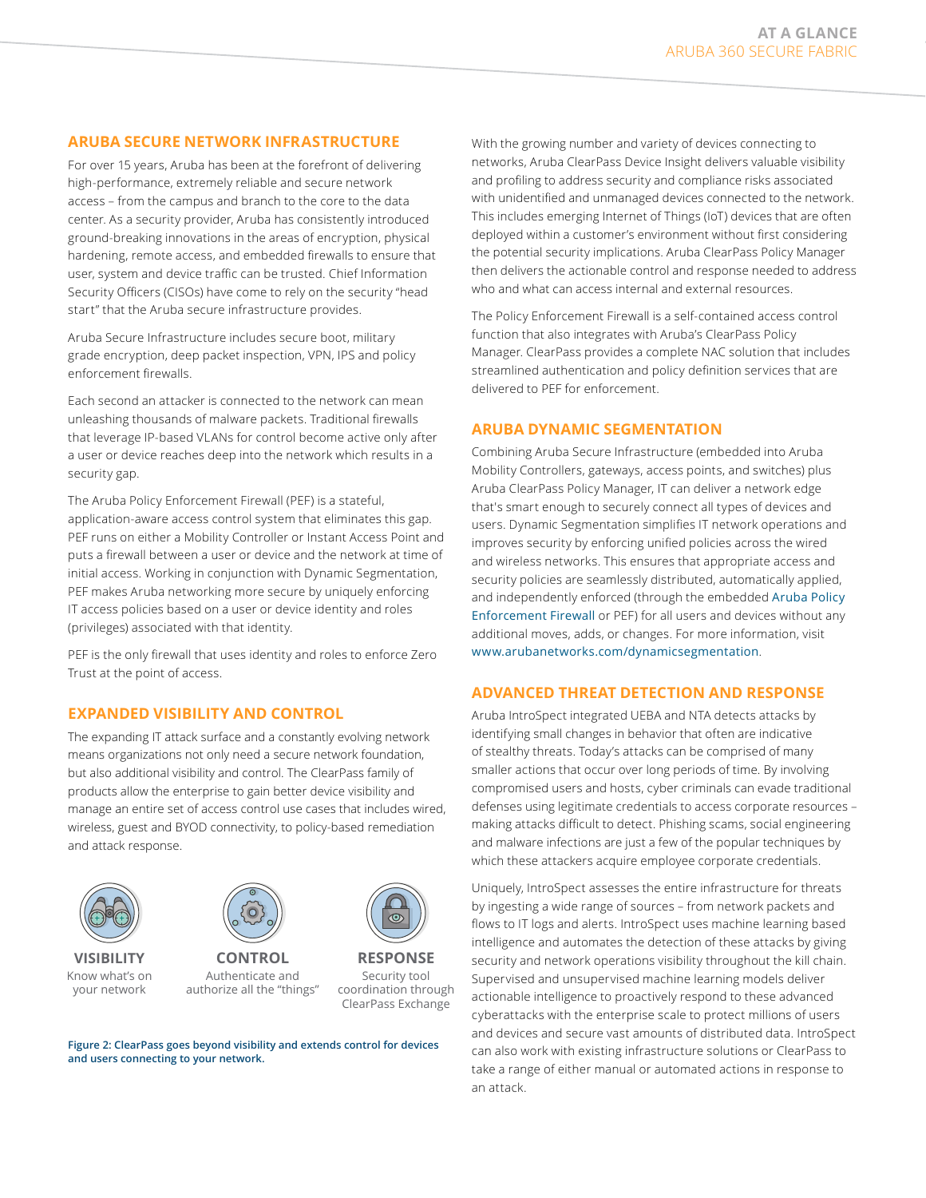### **ARUBA SECURE NETWORK INFRASTRUCTURE**

For over 15 years, Aruba has been at the forefront of delivering high-performance, extremely reliable and secure network access – from the campus and branch to the core to the data center. As a security provider, Aruba has consistently introduced ground-breaking innovations in the areas of encryption, physical hardening, remote access, and embedded firewalls to ensure that user, system and device traffic can be trusted. Chief Information Security Officers (CISOs) have come to rely on the security "head start" that the Aruba secure infrastructure provides.

Aruba Secure Infrastructure includes secure boot, military grade encryption, deep packet inspection, VPN, IPS and policy enforcement firewalls.

Each second an attacker is connected to the network can mean unleashing thousands of malware packets. Traditional firewalls that leverage IP-based VLANs for control become active only after a user or device reaches deep into the network which results in a security gap.

The Aruba Policy Enforcement Firewall (PEF) is a stateful, application-aware access control system that eliminates this gap. PEF runs on either a Mobility Controller or Instant Access Point and puts a firewall between a user or device and the network at time of initial access. Working in conjunction with Dynamic Segmentation, PEF makes Aruba networking more secure by uniquely enforcing IT access policies based on a user or device identity and roles (privileges) associated with that identity.

PEF is the only firewall that uses identity and roles to enforce Zero Trust at the point of access.

### **EXPANDED VISIBILITY AND CONTROL**

The expanding IT attack surface and a constantly evolving network means organizations not only need a secure network foundation, but also additional visibility and control. The ClearPass family of products allow the enterprise to gain better device visibility and manage an entire set of access control use cases that includes wired, wireless, guest and BYOD connectivity, to policy-based remediation and attack response.



**VISIBILITY** Know what's on your network



Security tool coordination through ClearPass Exchange

**RESPONSE**

**Figure 2: ClearPass goes beyond visibility and extends control for devices and users connecting to your network.**

With the growing number and variety of devices connecting to networks, Aruba ClearPass Device Insight delivers valuable visibility and profiling to address security and compliance risks associated with unidentified and unmanaged devices connected to the network. This includes emerging Internet of Things (IoT) devices that are often deployed within a customer's environment without first considering the potential security implications. Aruba ClearPass Policy Manager then delivers the actionable control and response needed to address who and what can access internal and external resources.

The Policy Enforcement Firewall is a self-contained access control function that also integrates with Aruba's ClearPass Policy Manager. ClearPass provides a complete NAC solution that includes streamlined authentication and policy definition services that are delivered to PEF for enforcement.

### **ARUBA DYNAMIC SEGMENTATION**

Combining Aruba Secure Infrastructure (embedded into Aruba Mobility Controllers, gateways, access points, and switches) plus Aruba ClearPass Policy Manager, IT can deliver a network edge that's smart enough to securely connect all types of devices and users. Dynamic Segmentation simplifies IT network operations and improves security by enforcing unified policies across the wired and wireless networks. This ensures that appropriate access and security policies are seamlessly distributed, automatically applied, and independently enforced (through the embedded [Aruba Policy](https://www.arubanetworks.com/products/security/policy-enforcement-firewall/)  [Enforcement Firewall](https://www.arubanetworks.com/products/security/policy-enforcement-firewall/) or PEF) for all users and devices without any additional moves, adds, or changes. For more information, visit [www.arubanetworks.com/dynamicsegmentation](https://www.arubanetworks.com/dynamicsegmentation).

### **ADVANCED THREAT DETECTION AND RESPONSE**

Aruba IntroSpect integrated UEBA and NTA detects attacks by identifying small changes in behavior that often are indicative of stealthy threats. Today's attacks can be comprised of many smaller actions that occur over long periods of time. By involving compromised users and hosts, cyber criminals can evade traditional defenses using legitimate credentials to access corporate resources – making attacks difficult to detect. Phishing scams, social engineering and malware infections are just a few of the popular techniques by which these attackers acquire employee corporate credentials.

Uniquely, IntroSpect assesses the entire infrastructure for threats by ingesting a wide range of sources – from network packets and flows to IT logs and alerts. IntroSpect uses machine learning based intelligence and automates the detection of these attacks by giving security and network operations visibility throughout the kill chain. Supervised and unsupervised machine learning models deliver actionable intelligence to proactively respond to these advanced cyberattacks with the enterprise scale to protect millions of users and devices and secure vast amounts of distributed data. IntroSpect can also work with existing infrastructure solutions or ClearPass to take a range of either manual or automated actions in response to an attack.